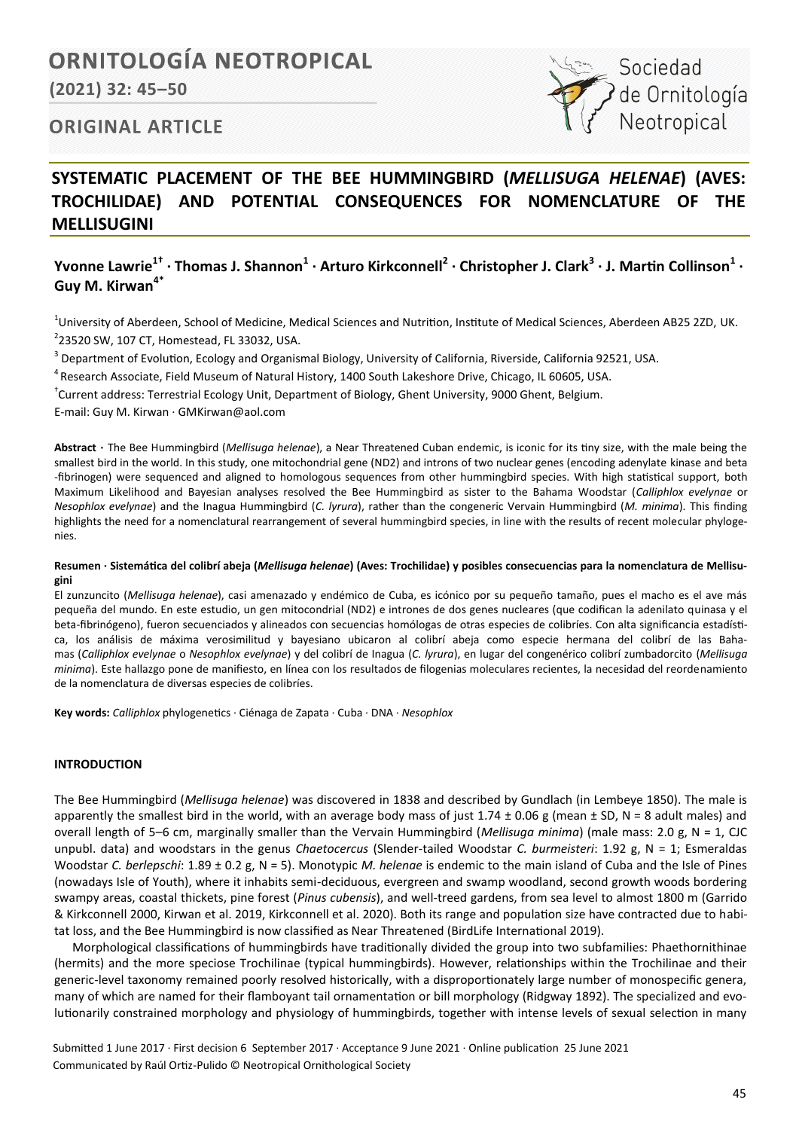# **ORNITOLOGÍA NEOTROPICAL**

**(2021) 32: 45–50**



## **ORIGINAL ARTICLE**

# **SYSTEMATIC PLACEMENT OF THE BEE HUMMINGBIRD (***MELLISUGA HELENAE***) (AVES: TROCHILIDAE) AND POTENTIAL CONSEQUENCES FOR NOMENCLATURE OF THE MELLISUGINI**

## **Yvonne Lawrie1† · Thomas J. Shannon<sup>1</sup> · Arturo Kirkconnell<sup>2</sup> · Christopher J. Clark<sup>3</sup> · J. Martin Collinson<sup>1</sup> · Guy M. Kirwan4\***

<sup>1</sup>University of Aberdeen, School of Medicine, Medical Sciences and Nutrition, Institute of Medical Sciences, Aberdeen AB25 2ZD, UK. 2 23520 SW, 107 CT, Homestead, FL 33032, USA.

<sup>3</sup> Department of Evolution, Ecology and Organismal Biology, University of California, Riverside, California 92521, USA.

<sup>4</sup> Research Associate, Field Museum of Natural History, 1400 South Lakeshore Drive, Chicago, IL 60605, USA.

† Current address: Terrestrial Ecology Unit, Department of Biology, Ghent University, 9000 Ghent, Belgium.

E-mail: Guy M. Kirwan · GMKirwan@aol.com

**Abstract ·** The Bee Hummingbird (*Mellisuga helenae*), a Near Threatened Cuban endemic, is iconic for its tiny size, with the male being the smallest bird in the world. In this study, one mitochondrial gene (ND2) and introns of two nuclear genes (encoding adenylate kinase and beta -fibrinogen) were sequenced and aligned to homologous sequences from other hummingbird species. With high statistical support, both Maximum Likelihood and Bayesian analyses resolved the Bee Hummingbird as sister to the Bahama Woodstar (*Calliphlox evelynae* or *Nesophlox evelynae*) and the Inagua Hummingbird (*C. lyrura*), rather than the congeneric Vervain Hummingbird (*M. minima*). This finding highlights the need for a nomenclatural rearrangement of several hummingbird species, in line with the results of recent molecular phylogenies.

#### **Resumen · Sistemática del colibrí abeja (***Mellisuga helenae***) (Aves: Trochilidae) y posibles consecuencias para la nomenclatura de Mellisugini**

El zunzuncito (*Mellisuga helenae*), casi amenazado y endémico de Cuba, es icónico por su pequeño tamaño, pues el macho es el ave más pequeña del mundo. En este estudio, un gen mitocondrial (ND2) e intrones de dos genes nucleares (que codifican la adenilato quinasa y el beta-fibrinógeno), fueron secuenciados y alineados con secuencias homólogas de otras especies de colibríes. Con alta significancia estadística, los análisis de máxima verosimilitud y bayesiano ubicaron al colibrí abeja como especie hermana del colibrí de las Bahamas (*Calliphlox evelynae* o *Nesophlox evelynae*) y del colibrí de Inagua (*C. lyrura*), en lugar del congenérico colibrí zumbadorcito (*Mellisuga minima*). Este hallazgo pone de manifiesto, en línea con los resultados de filogenias moleculares recientes, la necesidad del reordenamiento de la nomenclatura de diversas especies de colibríes.

**Key words:** *Calliphlox* phylogenetics ∙ Ciénaga de Zapata ∙ Cuba ∙ DNA ∙ *Nesophlox* 

## **INTRODUCTION**

The Bee Hummingbird (*Mellisuga helenae*) was discovered in 1838 and described by Gundlach (in Lembeye 1850). The male is apparently the smallest bird in the world, with an average body mass of just 1.74  $\pm$  0.06 g (mean  $\pm$  SD, N = 8 adult males) and overall length of 5–6 cm, marginally smaller than the Vervain Hummingbird (*Mellisuga minima*) (male mass: 2.0 g, N = 1, CJC unpubl. data) and woodstars in the genus *Chaetocercus* (Slender-tailed Woodstar *C. burmeisteri*: 1.92 g, N = 1; Esmeraldas Woodstar *C. berlepschi*: 1.89 ± 0.2 g, N = 5). Monotypic *M. helenae* is endemic to the main island of Cuba and the Isle of Pines (nowadays Isle of Youth), where it inhabits semi-deciduous, evergreen and swamp woodland, second growth woods bordering swampy areas, coastal thickets, pine forest (*Pinus cubensis*), and well-treed gardens, from sea level to almost 1800 m (Garrido & Kirkconnell 2000, Kirwan et al. 2019, Kirkconnell et al. 2020). Both its range and population size have contracted due to habitat loss, and the Bee Hummingbird is now classified as Near Threatened (BirdLife International 2019).

Morphological classifications of hummingbirds have traditionally divided the group into two subfamilies: Phaethornithinae (hermits) and the more speciose Trochilinae (typical hummingbirds). However, relationships within the Trochilinae and their generic-level taxonomy remained poorly resolved historically, with a disproportionately large number of monospecific genera, many of which are named for their flamboyant tail ornamentation or bill morphology (Ridgway 1892). The specialized and evolutionarily constrained morphology and physiology of hummingbirds, together with intense levels of sexual selection in many

Submitted 1 June 2017 ∙ First decision 6 September 2017 ∙ Acceptance 9 June 2021 ∙ Online publication 25 June 2021 Communicated by Raúl Ortiz-Pulido © Neotropical Ornithological Society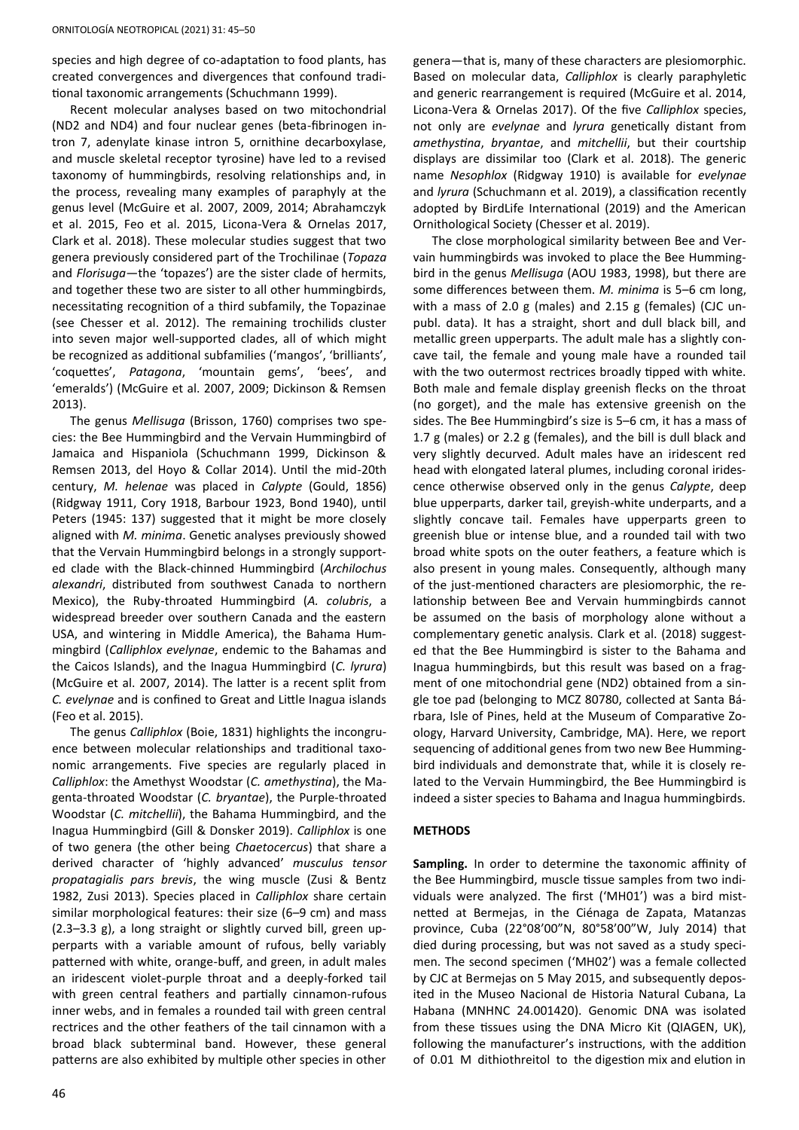species and high degree of co-adaptation to food plants, has created convergences and divergences that confound traditional taxonomic arrangements (Schuchmann 1999).

Recent molecular analyses based on two mitochondrial (ND2 and ND4) and four nuclear genes (beta-fibrinogen intron 7, adenylate kinase intron 5, ornithine decarboxylase, and muscle skeletal receptor tyrosine) have led to a revised taxonomy of hummingbirds, resolving relationships and, in the process, revealing many examples of paraphyly at the genus level (McGuire et al. 2007, 2009, 2014; Abrahamczyk et al. 2015, Feo et al. 2015, Licona-Vera & Ornelas 2017, Clark et al. 2018). These molecular studies suggest that two genera previously considered part of the Trochilinae (*Topaza* and *Florisuga*—the 'topazes') are the sister clade of hermits, and together these two are sister to all other hummingbirds, necessitating recognition of a third subfamily, the Topazinae (see Chesser et al. 2012). The remaining trochilids cluster into seven major well-supported clades, all of which might be recognized as additional subfamilies ('mangos', 'brilliants', 'coquettes', *Patagona*, 'mountain gems', 'bees', and 'emeralds') (McGuire et al. 2007, 2009; Dickinson & Remsen 2013).

The genus *Mellisuga* (Brisson, 1760) comprises two species: the Bee Hummingbird and the Vervain Hummingbird of Jamaica and Hispaniola (Schuchmann 1999, Dickinson & Remsen 2013, del Hoyo & Collar 2014). Until the mid-20th century, *M. helenae* was placed in *Calypte* (Gould, 1856) (Ridgway 1911, Cory 1918, Barbour 1923, Bond 1940), until Peters (1945: 137) suggested that it might be more closely aligned with *M. minima*. Genetic analyses previously showed that the Vervain Hummingbird belongs in a strongly supported clade with the Black-chinned Hummingbird (*Archilochus alexandri*, distributed from southwest Canada to northern Mexico), the Ruby-throated Hummingbird (*A. colubris*, a widespread breeder over southern Canada and the eastern USA, and wintering in Middle America), the Bahama Hummingbird (*Calliphlox evelynae*, endemic to the Bahamas and the Caicos Islands), and the Inagua Hummingbird (*C. lyrura*) (McGuire et al. 2007, 2014). The latter is a recent split from *C. evelynae* and is confined to Great and Little Inagua islands (Feo et al. 2015).

The genus *Calliphlox* (Boie, 1831) highlights the incongruence between molecular relationships and traditional taxonomic arrangements. Five species are regularly placed in *Calliphlox*: the Amethyst Woodstar (*C. amethystina*), the Magenta-throated Woodstar (*C. bryantae*), the Purple-throated Woodstar (*C. mitchellii*), the Bahama Hummingbird, and the Inagua Hummingbird (Gill & Donsker 2019). *Calliphlox* is one of two genera (the other being *Chaetocercus*) that share a derived character of 'highly advanced' *musculus tensor propatagialis pars brevis*, the wing muscle (Zusi & Bentz 1982, Zusi 2013). Species placed in *Calliphlox* share certain similar morphological features: their size (6–9 cm) and mass (2.3–3.3 g), a long straight or slightly curved bill, green upperparts with a variable amount of rufous, belly variably patterned with white, orange-buff, and green, in adult males an iridescent violet-purple throat and a deeply-forked tail with green central feathers and partially cinnamon-rufous inner webs, and in females a rounded tail with green central rectrices and the other feathers of the tail cinnamon with a broad black subterminal band. However, these general patterns are also exhibited by multiple other species in other

genera—that is, many of these characters are plesiomorphic. Based on molecular data, *Calliphlox* is clearly paraphyletic and generic rearrangement is required (McGuire et al. 2014, Licona-Vera & Ornelas 2017). Of the five *Calliphlox* species, not only are *evelynae* and *lyrura* genetically distant from *amethystina*, *bryantae*, and *mitchellii*, but their courtship displays are dissimilar too (Clark et al. 2018). The generic name *Nesophlox* (Ridgway 1910) is available for *evelynae* and *lyrura* (Schuchmann et al. 2019), a classification recently adopted by BirdLife International (2019) and the American Ornithological Society (Chesser et al. 2019).

The close morphological similarity between Bee and Vervain hummingbirds was invoked to place the Bee Hummingbird in the genus *Mellisuga* (AOU 1983, 1998), but there are some differences between them. *M. minima* is 5–6 cm long, with a mass of 2.0 g (males) and 2.15 g (females) (CJC unpubl. data). It has a straight, short and dull black bill, and metallic green upperparts. The adult male has a slightly concave tail, the female and young male have a rounded tail with the two outermost rectrices broadly tipped with white. Both male and female display greenish flecks on the throat (no gorget), and the male has extensive greenish on the sides. The Bee Hummingbird's size is 5–6 cm, it has a mass of 1.7 g (males) or 2.2 g (females), and the bill is dull black and very slightly decurved. Adult males have an iridescent red head with elongated lateral plumes, including coronal iridescence otherwise observed only in the genus *Calypte*, deep blue upperparts, darker tail, greyish-white underparts, and a slightly concave tail. Females have upperparts green to greenish blue or intense blue, and a rounded tail with two broad white spots on the outer feathers, a feature which is also present in young males. Consequently, although many of the just-mentioned characters are plesiomorphic, the relationship between Bee and Vervain hummingbirds cannot be assumed on the basis of morphology alone without a complementary genetic analysis. Clark et al. (2018) suggested that the Bee Hummingbird is sister to the Bahama and Inagua hummingbirds, but this result was based on a fragment of one mitochondrial gene (ND2) obtained from a single toe pad (belonging to MCZ 80780, collected at Santa Bárbara, Isle of Pines, held at the Museum of Comparative Zoology, Harvard University, Cambridge, MA). Here, we report sequencing of additional genes from two new Bee Hummingbird individuals and demonstrate that, while it is closely related to the Vervain Hummingbird, the Bee Hummingbird is indeed a sister species to Bahama and Inagua hummingbirds.

#### **METHODS**

**Sampling.** In order to determine the taxonomic affinity of the Bee Hummingbird, muscle tissue samples from two individuals were analyzed. The first ('MH01') was a bird mistnetted at Bermejas, in the Ciénaga de Zapata, Matanzas province, Cuba (22°08'00"N, 80°58'00"W, July 2014) that died during processing, but was not saved as a study specimen. The second specimen ('MH02') was a female collected by CJC at Bermejas on 5 May 2015, and subsequently deposited in the Museo Nacional de Historia Natural Cubana, La Habana (MNHNC 24.001420). Genomic DNA was isolated from these tissues using the DNA Micro Kit (QIAGEN, UK), following the manufacturer's instructions, with the addition of 0.01 M dithiothreitol to the digestion mix and elution in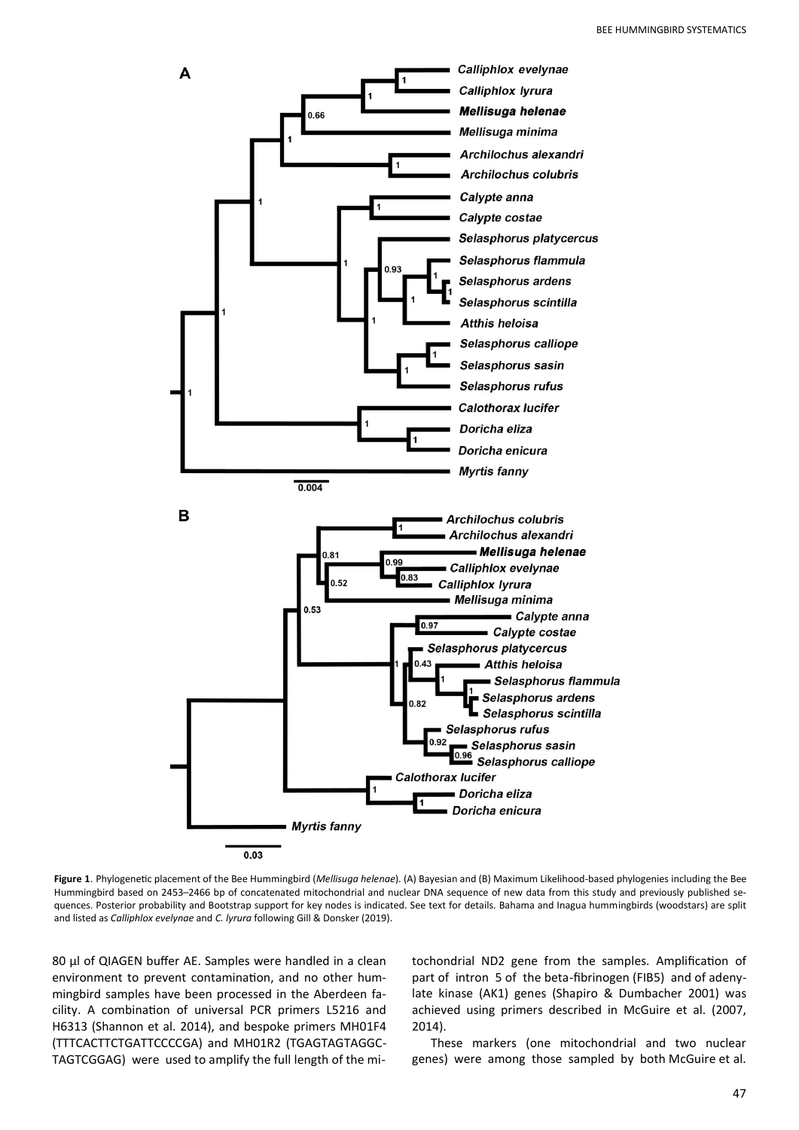

**Figure 1**. Phylogenetic placement of the Bee Hummingbird (*Mellisuga helenae*). (A) Bayesian and (B) Maximum Likelihood-based phylogenies including the Bee Hummingbird based on 2453–2466 bp of concatenated mitochondrial and nuclear DNA sequence of new data from this study and previously published sequences. Posterior probability and Bootstrap support for key nodes is indicated. See text for details. Bahama and Inagua hummingbirds (woodstars) are split and listed as *Calliphlox evelynae* and *C. lyrura* following Gill & Donsker (2019).

80 µl of QIAGEN buffer AE. Samples were handled in a clean environment to prevent contamination, and no other hummingbird samples have been processed in the Aberdeen facility. A combination of universal PCR primers L5216 and H6313 (Shannon et al. 2014), and bespoke primers MH01F4 (TTTCACTTCTGATTCCCCGA) and MH01R2 (TGAGTAGTAGGC-TAGTCGGAG) were used to amplify the full length of the mitochondrial ND2 gene from the samples. Amplification of part of intron 5 of the beta-fibrinogen (FIB5) and of adenylate kinase (AK1) genes (Shapiro & Dumbacher 2001) was achieved using primers described in McGuire et al. (2007, 2014).

These markers (one mitochondrial and two nuclear genes) were among those sampled by both McGuire et al.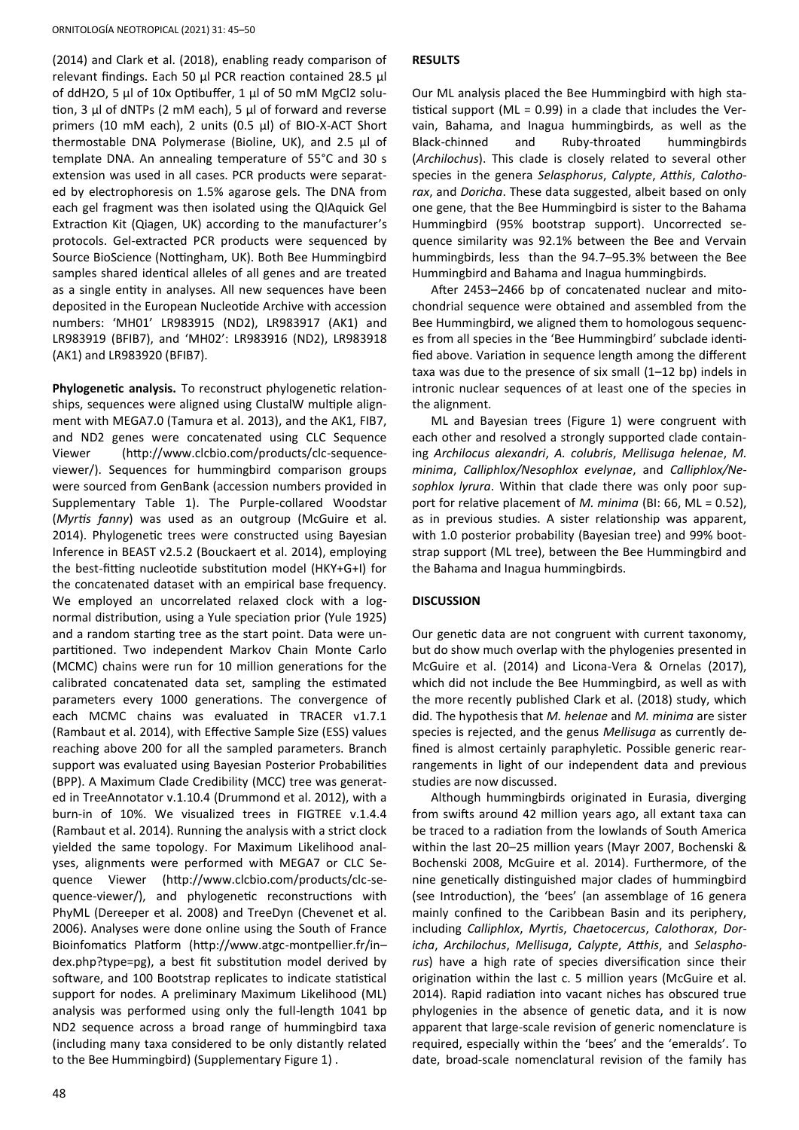(2014) and Clark et al. (2018), enabling ready comparison of relevant findings. Each 50 µl PCR reaction contained 28.5 µl of ddH2O, 5 µl of 10x Optibuffer, 1 µl of 50 mM MgCl2 solution, 3 µl of dNTPs (2 mM each), 5 µl of forward and reverse primers (10 mM each), 2 units (0.5 µl) of BIO-X-ACT Short thermostable DNA Polymerase (Bioline, UK), and 2.5 µl of template DNA. An annealing temperature of 55°C and 30 s extension was used in all cases. PCR products were separated by electrophoresis on 1.5% agarose gels. The DNA from each gel fragment was then isolated using the QIAquick Gel Extraction Kit (Qiagen, UK) according to the manufacturer's protocols. Gel-extracted PCR products were sequenced by Source BioScience (Nottingham, UK). Both Bee Hummingbird samples shared identical alleles of all genes and are treated as a single entity in analyses. All new sequences have been deposited in the European Nucleotide Archive with accession numbers: 'MH01' LR983915 (ND2), LR983917 (AK1) and LR983919 (BFIB7), and 'MH02': LR983916 (ND2), LR983918 (AK1) and LR983920 (BFIB7).

**Phylogenetic analysis.** To reconstruct phylogenetic relationships, sequences were aligned using ClustalW multiple alignment with MEGA7.0 (Tamura et al. 2013), and the AK1, FIB7, and ND2 genes were concatenated using CLC Sequence Viewer (http://www.clcbio.com/products/clc-sequenceviewer/). Sequences for hummingbird comparison groups were sourced from GenBank (accession numbers provided in Supplementary Table 1). The Purple-collared Woodstar (*Myrtis fanny*) was used as an outgroup (McGuire et al. 2014). Phylogenetic trees were constructed using Bayesian Inference in BEAST v2.5.2 (Bouckaert et al. 2014), employing the best-fitting nucleotide substitution model (HKY+G+I) for the concatenated dataset with an empirical base frequency. We employed an uncorrelated relaxed clock with a lognormal distribution, using a Yule speciation prior (Yule 1925) and a random starting tree as the start point. Data were unpartitioned. Two independent Markov Chain Monte Carlo (MCMC) chains were run for 10 million generations for the calibrated concatenated data set, sampling the estimated parameters every 1000 generations. The convergence of each MCMC chains was evaluated in TRACER v1.7.1 (Rambaut et al. 2014), with Effective Sample Size (ESS) values reaching above 200 for all the sampled parameters. Branch support was evaluated using Bayesian Posterior Probabilities (BPP). A Maximum Clade Credibility (MCC) tree was generated in TreeAnnotator v.1.10.4 (Drummond et al. 2012), with a burn-in of 10%. We visualized trees in FIGTREE v.1.4.4 (Rambaut et al. 2014). Running the analysis with a strict clock yielded the same topology. For Maximum Likelihood analyses, alignments were performed with MEGA7 or CLC Sequence Viewer (http://www.clcbio.com/products/clc-sequence-viewer/), and phylogenetic reconstructions with PhyML (Dereeper et al. 2008) and TreeDyn (Chevenet et al. 2006). Analyses were done online using the South of France Bioinfomatics Platform (http://www.atgc-montpellier.fr/in– dex.php?type=pg), a best fit substitution model derived by software, and 100 Bootstrap replicates to indicate statistical support for nodes. A preliminary Maximum Likelihood (ML) analysis was performed using only the full-length 1041 bp ND2 sequence across a broad range of hummingbird taxa (including many taxa considered to be only distantly related to the Bee Hummingbird) (Supplementary Figure 1) .

#### **RESULTS**

Our ML analysis placed the Bee Hummingbird with high statistical support ( $ML = 0.99$ ) in a clade that includes the Vervain, Bahama, and Inagua hummingbirds, as well as the Black-chinned and Ruby-throated hummingbirds (*Archilochus*). This clade is closely related to several other species in the genera *Selasphorus*, *Calypte*, *Atthis*, *Calothorax*, and *Doricha*. These data suggested, albeit based on only one gene, that the Bee Hummingbird is sister to the Bahama Hummingbird (95% bootstrap support). Uncorrected sequence similarity was 92.1% between the Bee and Vervain hummingbirds, less than the 94.7–95.3% between the Bee Hummingbird and Bahama and Inagua hummingbirds.

After 2453–2466 bp of concatenated nuclear and mitochondrial sequence were obtained and assembled from the Bee Hummingbird, we aligned them to homologous sequences from all species in the 'Bee Hummingbird' subclade identified above. Variation in sequence length among the different taxa was due to the presence of six small (1–12 bp) indels in intronic nuclear sequences of at least one of the species in the alignment.

ML and Bayesian trees (Figure 1) were congruent with each other and resolved a strongly supported clade containing *Archilocus alexandri*, *A. colubris*, *Mellisuga helenae*, *M. minima*, *Calliphlox/Nesophlox evelynae*, and *Calliphlox/Nesophlox lyrura*. Within that clade there was only poor support for relative placement of *M. minima* (BI: 66, ML = 0.52), as in previous studies. A sister relationship was apparent, with 1.0 posterior probability (Bayesian tree) and 99% bootstrap support (ML tree), between the Bee Hummingbird and the Bahama and Inagua hummingbirds.

#### **DISCUSSION**

Our genetic data are not congruent with current taxonomy, but do show much overlap with the phylogenies presented in McGuire et al. (2014) and Licona-Vera & Ornelas (2017), which did not include the Bee Hummingbird, as well as with the more recently published Clark et al. (2018) study, which did. The hypothesis that *M. helenae* and *M. minima* are sister species is rejected, and the genus *Mellisuga* as currently defined is almost certainly paraphyletic. Possible generic rearrangements in light of our independent data and previous studies are now discussed.

Although hummingbirds originated in Eurasia, diverging from swifts around 42 million years ago, all extant taxa can be traced to a radiation from the lowlands of South America within the last 20–25 million years (Mayr 2007, Bochenski & Bochenski 2008, McGuire et al. 2014). Furthermore, of the nine genetically distinguished major clades of hummingbird (see Introduction), the 'bees' (an assemblage of 16 genera mainly confined to the Caribbean Basin and its periphery, including *Calliphlox*, *Myrtis*, *Chaetocercus*, *Calothorax*, *Doricha*, *Archilochus*, *Mellisuga*, *Calypte*, *Atthis*, and *Selasphorus*) have a high rate of species diversification since their origination within the last c. 5 million years (McGuire et al. 2014). Rapid radiation into vacant niches has obscured true phylogenies in the absence of genetic data, and it is now apparent that large-scale revision of generic nomenclature is required, especially within the 'bees' and the 'emeralds'. To date, broad-scale nomenclatural revision of the family has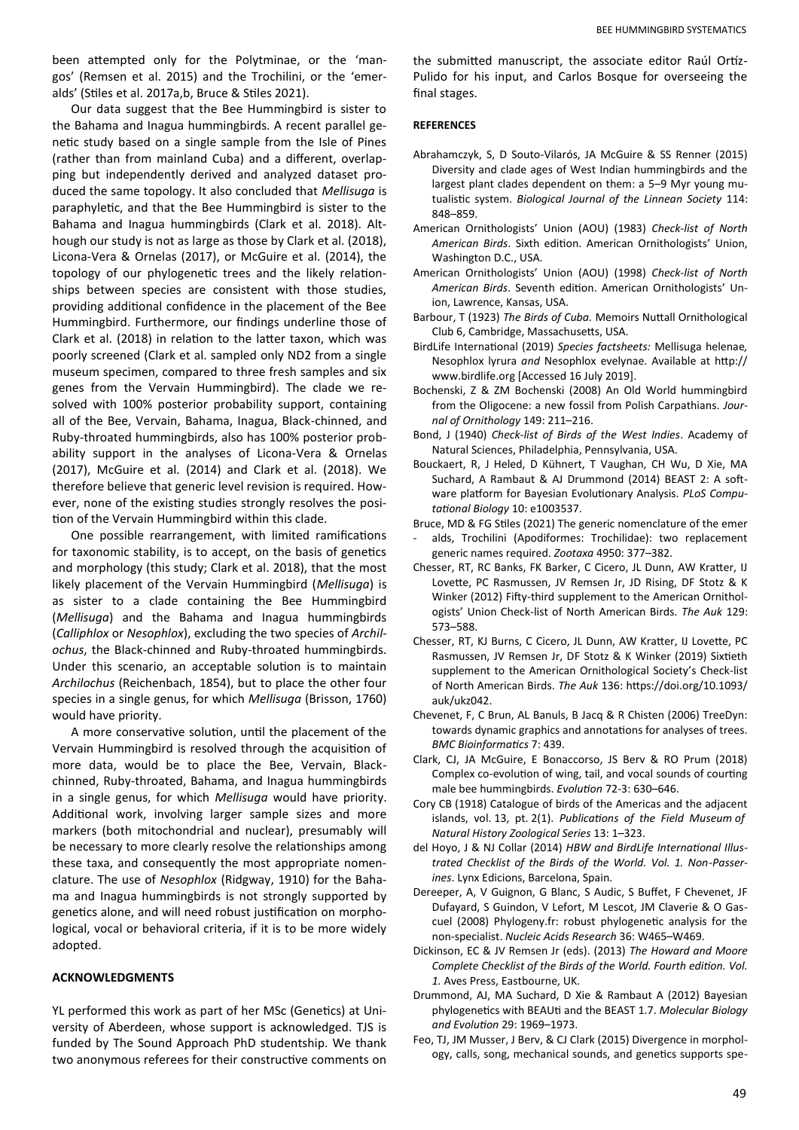Our data suggest that the Bee Hummingbird is sister to the Bahama and Inagua hummingbirds. A recent parallel genetic study based on a single sample from the Isle of Pines (rather than from mainland Cuba) and a different, overlapping but independently derived and analyzed dataset produced the same topology. It also concluded that *Mellisuga* is paraphyletic, and that the Bee Hummingbird is sister to the Bahama and Inagua hummingbirds (Clark et al. 2018). Although our study is not as large as those by Clark et al. (2018), Licona-Vera & Ornelas (2017), or McGuire et al. (2014), the topology of our phylogenetic trees and the likely relationships between species are consistent with those studies, providing additional confidence in the placement of the Bee Hummingbird. Furthermore, our findings underline those of Clark et al. (2018) in relation to the latter taxon, which was poorly screened (Clark et al. sampled only ND2 from a single museum specimen, compared to three fresh samples and six genes from the Vervain Hummingbird). The clade we resolved with 100% posterior probability support, containing all of the Bee, Vervain, Bahama, Inagua, Black-chinned, and Ruby-throated hummingbirds, also has 100% posterior probability support in the analyses of Licona-Vera & Ornelas (2017), McGuire et al. (2014) and Clark et al. (2018). We therefore believe that generic level revision is required. However, none of the existing studies strongly resolves the position of the Vervain Hummingbird within this clade.

One possible rearrangement, with limited ramifications for taxonomic stability, is to accept, on the basis of genetics and morphology (this study; Clark et al. 2018), that the most likely placement of the Vervain Hummingbird (*Mellisuga*) is as sister to a clade containing the Bee Hummingbird (*Mellisuga*) and the Bahama and Inagua hummingbirds (*Calliphlox* or *Nesophlox*), excluding the two species of *Archilochus*, the Black-chinned and Ruby-throated hummingbirds. Under this scenario, an acceptable solution is to maintain *Archilochus* (Reichenbach, 1854), but to place the other four species in a single genus, for which *Mellisuga* (Brisson, 1760) would have priority.

A more conservative solution, until the placement of the Vervain Hummingbird is resolved through the acquisition of more data, would be to place the Bee, Vervain, Blackchinned, Ruby-throated, Bahama, and Inagua hummingbirds in a single genus, for which *Mellisuga* would have priority. Additional work, involving larger sample sizes and more markers (both mitochondrial and nuclear), presumably will be necessary to more clearly resolve the relationships among these taxa, and consequently the most appropriate nomenclature. The use of *Nesophlox* (Ridgway, 1910) for the Bahama and Inagua hummingbirds is not strongly supported by genetics alone, and will need robust justification on morphological, vocal or behavioral criteria, if it is to be more widely adopted.

### **ACKNOWLEDGMENTS**

YL performed this work as part of her MSc (Genetics) at University of Aberdeen, whose support is acknowledged. TJS is funded by The Sound Approach PhD studentship. We thank two anonymous referees for their constructive comments on the submitted manuscript, the associate editor Raúl Ortíz-Pulido for his input, and Carlos Bosque for overseeing the final stages.

#### **REFERENCES**

- Abrahamczyk, S, D Souto-Vilarós, JA McGuire & SS Renner (2015) Diversity and clade ages of West Indian hummingbirds and the largest plant clades dependent on them: a 5–9 Myr young mutualistic system. *Biological Journal of the Linnean Society* 114: 848–859.
- American Ornithologists' Union (AOU) (1983) *Check-list of North American Birds*. Sixth edition. American Ornithologists' Union, Washington D.C., USA.
- American Ornithologists' Union (AOU) (1998) *Check-list of North American Birds*. Seventh edition. American Ornithologists' Union, Lawrence, Kansas, USA.
- Barbour, T (1923) *The Birds of Cuba.* Memoirs Nuttall Ornithological Club 6, Cambridge, Massachusetts, USA.
- BirdLife International (2019) *Species factsheets:* Mellisuga helenae*,*  Nesophlox lyrura *and* Nesophlox evelynae. Available at http:// www.birdlife.org [Accessed 16 July 2019].
- Bochenski, Z & ZM Bochenski (2008) An Old World hummingbird from the Oligocene: a new fossil from Polish Carpathians. *Journal of Ornithology* 149: 211–216.
- Bond, J (1940) *Check-list of Birds of the West Indies*. Academy of Natural Sciences, Philadelphia, Pennsylvania, USA.
- Bouckaert, R, J Heled, D Kühnert, T Vaughan, CH Wu, D Xie, MA Suchard, A Rambaut & AJ Drummond (2014) BEAST 2: A software platform for Bayesian Evolutionary Analysis. *PLoS Computational Biology* 10: e1003537.
- Bruce, MD & FG Stiles (2021) The generic nomenclature of the emer alds, Trochilini (Apodiformes: Trochilidae): two replacement generic names required. *Zootaxa* 4950: 377–382.
- Chesser, RT, RC Banks, FK Barker, C Cicero, JL Dunn, AW Kratter, IJ Lovette, PC Rasmussen, JV Remsen Jr, JD Rising, DF Stotz & K Winker (2012) Fifty-third supplement to the American Ornithologists' Union Check-list of North American Birds. *The Auk* 129: 573–588.
- Chesser, RT, KJ Burns, C Cicero, JL Dunn, AW Kratter, IJ Lovette, PC Rasmussen, JV Remsen Jr, DF Stotz & K Winker (2019) Sixtieth supplement to the American Ornithological Society's Check-list of North American Birds. *The Auk* 136: https://doi.org/10.1093/ auk/ukz042.
- Chevenet, F, C Brun, AL Banuls, B Jacq & R Chisten (2006) TreeDyn: towards dynamic graphics and annotations for analyses of trees. *BMC Bioinformatics* 7: 439.
- Clark, CJ, JA McGuire, E Bonaccorso, JS Berv & RO Prum (2018) Complex co-evolution of wing, tail, and vocal sounds of courting male bee hummingbirds. *Evolution* 72-3: 630–646.
- Cory CB (1918) Catalogue of birds of the Americas and the adjacent islands, vol. 13, pt. 2(1). *Publications of the Field Museum of Natural History Zoological Series* 13: 1–323.
- del Hoyo, J & NJ Collar (2014) *HBW and BirdLife International Illustrated Checklist of the Birds of the World. Vol. 1. Non-Passerines*. Lynx Edicions, Barcelona, Spain.
- Dereeper, A, V Guignon, G Blanc, S Audic, S Buffet, F Chevenet, JF Dufayard, S Guindon, V Lefort, M Lescot, JM Claverie & O Gascuel (2008) Phylogeny.fr: robust phylogenetic analysis for the non-specialist. *Nucleic Acids Research* 36: W465–W469.
- Dickinson, EC & JV Remsen Jr (eds). (2013) *The Howard and Moore Complete Checklist of the Birds of the World. Fourth edition. Vol. 1.* Aves Press, Eastbourne, UK.
- Drummond, AJ, MA Suchard, D Xie & Rambaut A (2012) Bayesian phylogenetics with BEAUti and the BEAST 1.7. *Molecular Biology and Evolution* 29: 1969–1973.
- Feo, TJ, JM Musser, J Berv, & CJ Clark (2015) Divergence in morphology, calls, song, mechanical sounds, and genetics supports spe-